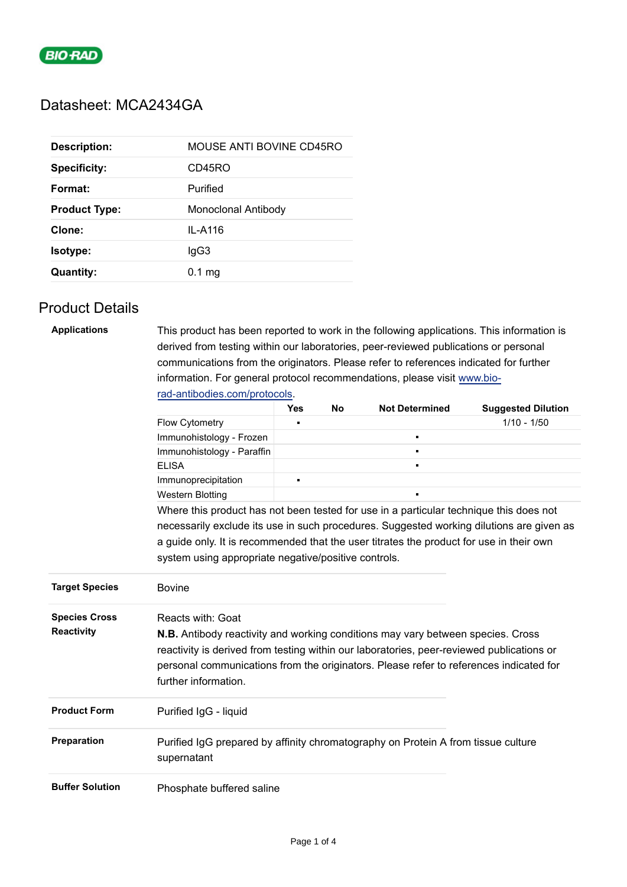

# Datasheet: MCA2434GA

| MOUSE ANTI BOVINE CD45RO<br><b>Description:</b> |                     |  |
|-------------------------------------------------|---------------------|--|
| <b>Specificity:</b>                             | CD45RO              |  |
| Format:                                         | Purified            |  |
| <b>Product Type:</b>                            | Monoclonal Antibody |  |
| Clone:                                          | IL-A116             |  |
| <b>Isotype:</b>                                 | lgG3                |  |
| <b>Quantity:</b>                                | $0.1 \text{ mg}$    |  |

### Product Details

| <b>Applications</b>                                                                  | This product has been reported to work in the following applications. This information is                                                                                                                                                                                                             |                |    |                       |                           |  |  |  |
|--------------------------------------------------------------------------------------|-------------------------------------------------------------------------------------------------------------------------------------------------------------------------------------------------------------------------------------------------------------------------------------------------------|----------------|----|-----------------------|---------------------------|--|--|--|
| derived from testing within our laboratories, peer-reviewed publications or personal |                                                                                                                                                                                                                                                                                                       |                |    |                       |                           |  |  |  |
|                                                                                      | communications from the originators. Please refer to references indicated for further                                                                                                                                                                                                                 |                |    |                       |                           |  |  |  |
|                                                                                      | information. For general protocol recommendations, please visit www.bio-                                                                                                                                                                                                                              |                |    |                       |                           |  |  |  |
|                                                                                      | rad-antibodies.com/protocols.                                                                                                                                                                                                                                                                         |                |    |                       |                           |  |  |  |
|                                                                                      |                                                                                                                                                                                                                                                                                                       | <b>Yes</b>     | No | <b>Not Determined</b> | <b>Suggested Dilution</b> |  |  |  |
|                                                                                      | <b>Flow Cytometry</b>                                                                                                                                                                                                                                                                                 | $\blacksquare$ |    |                       | $1/10 - 1/50$             |  |  |  |
|                                                                                      | Immunohistology - Frozen                                                                                                                                                                                                                                                                              |                |    | $\blacksquare$        |                           |  |  |  |
|                                                                                      | Immunohistology - Paraffin                                                                                                                                                                                                                                                                            |                |    | $\blacksquare$        |                           |  |  |  |
|                                                                                      | <b>ELISA</b>                                                                                                                                                                                                                                                                                          |                |    |                       |                           |  |  |  |
|                                                                                      | Immunoprecipitation                                                                                                                                                                                                                                                                                   | $\blacksquare$ |    |                       |                           |  |  |  |
|                                                                                      | <b>Western Blotting</b>                                                                                                                                                                                                                                                                               |                |    |                       |                           |  |  |  |
|                                                                                      | Where this product has not been tested for use in a particular technique this does not                                                                                                                                                                                                                |                |    |                       |                           |  |  |  |
|                                                                                      | necessarily exclude its use in such procedures. Suggested working dilutions are given as                                                                                                                                                                                                              |                |    |                       |                           |  |  |  |
|                                                                                      | a guide only. It is recommended that the user titrates the product for use in their own                                                                                                                                                                                                               |                |    |                       |                           |  |  |  |
|                                                                                      | system using appropriate negative/positive controls.                                                                                                                                                                                                                                                  |                |    |                       |                           |  |  |  |
| <b>Target Species</b>                                                                | <b>Bovine</b>                                                                                                                                                                                                                                                                                         |                |    |                       |                           |  |  |  |
| <b>Species Cross</b>                                                                 | Reacts with: Goat                                                                                                                                                                                                                                                                                     |                |    |                       |                           |  |  |  |
| <b>Reactivity</b>                                                                    | <b>N.B.</b> Antibody reactivity and working conditions may vary between species. Cross<br>reactivity is derived from testing within our laboratories, peer-reviewed publications or<br>personal communications from the originators. Please refer to references indicated for<br>further information. |                |    |                       |                           |  |  |  |
| <b>Product Form</b>                                                                  | Purified IgG - liquid                                                                                                                                                                                                                                                                                 |                |    |                       |                           |  |  |  |
| Preparation                                                                          | Purified IgG prepared by affinity chromatography on Protein A from tissue culture<br>supernatant                                                                                                                                                                                                      |                |    |                       |                           |  |  |  |
| <b>Buffer Solution</b>                                                               | Phosphate buffered saline                                                                                                                                                                                                                                                                             |                |    |                       |                           |  |  |  |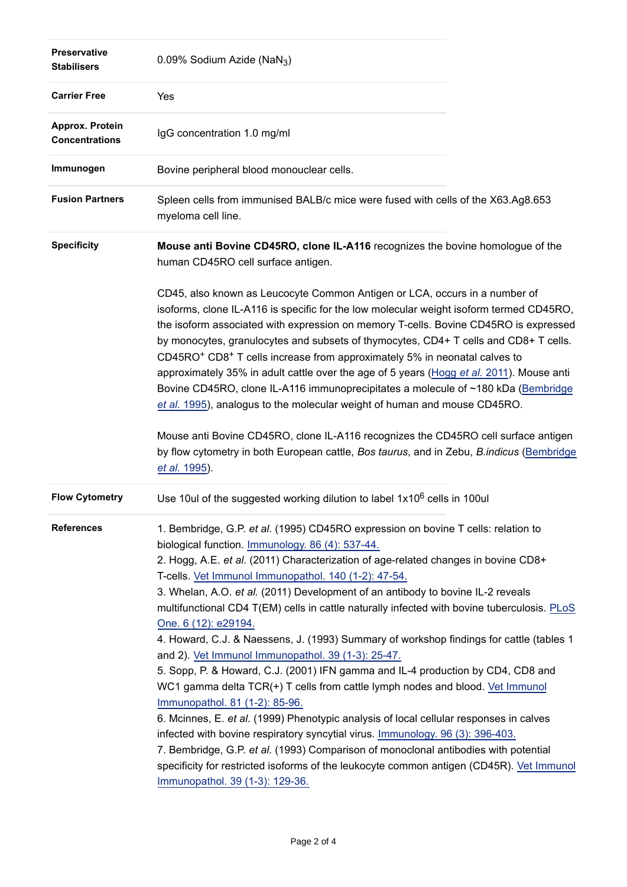| <b>Preservative</b><br><b>Stabilisers</b> | 0.09% Sodium Azide (NaN <sub>3</sub> )                                                                                                                                                                                                                                                                                                                                                                                                                                                                                                                                                                                                                                                                                                                                                                                                                                                                                                                                                                                           |
|-------------------------------------------|----------------------------------------------------------------------------------------------------------------------------------------------------------------------------------------------------------------------------------------------------------------------------------------------------------------------------------------------------------------------------------------------------------------------------------------------------------------------------------------------------------------------------------------------------------------------------------------------------------------------------------------------------------------------------------------------------------------------------------------------------------------------------------------------------------------------------------------------------------------------------------------------------------------------------------------------------------------------------------------------------------------------------------|
| <b>Carrier Free</b>                       | Yes                                                                                                                                                                                                                                                                                                                                                                                                                                                                                                                                                                                                                                                                                                                                                                                                                                                                                                                                                                                                                              |
| Approx. Protein<br><b>Concentrations</b>  | IgG concentration 1.0 mg/ml                                                                                                                                                                                                                                                                                                                                                                                                                                                                                                                                                                                                                                                                                                                                                                                                                                                                                                                                                                                                      |
| Immunogen                                 | Bovine peripheral blood monouclear cells.                                                                                                                                                                                                                                                                                                                                                                                                                                                                                                                                                                                                                                                                                                                                                                                                                                                                                                                                                                                        |
| <b>Fusion Partners</b>                    | Spleen cells from immunised BALB/c mice were fused with cells of the X63.Ag8.653<br>myeloma cell line.                                                                                                                                                                                                                                                                                                                                                                                                                                                                                                                                                                                                                                                                                                                                                                                                                                                                                                                           |
| <b>Specificity</b>                        | Mouse anti Bovine CD45RO, clone IL-A116 recognizes the bovine homologue of the<br>human CD45RO cell surface antigen.                                                                                                                                                                                                                                                                                                                                                                                                                                                                                                                                                                                                                                                                                                                                                                                                                                                                                                             |
|                                           | CD45, also known as Leucocyte Common Antigen or LCA, occurs in a number of<br>isoforms, clone IL-A116 is specific for the low molecular weight isoform termed CD45RO,<br>the isoform associated with expression on memory T-cells. Bovine CD45RO is expressed<br>by monocytes, granulocytes and subsets of thymocytes, CD4+ T cells and CD8+ T cells.<br>CD45RO <sup>+</sup> CD8 <sup>+</sup> T cells increase from approximately 5% in neonatal calves to<br>approximately 35% in adult cattle over the age of 5 years (Hogg et al. 2011). Mouse anti<br>Bovine CD45RO, clone IL-A116 immunoprecipitates a molecule of ~180 kDa (Bembridge<br>et al. 1995), analogus to the molecular weight of human and mouse CD45RO.                                                                                                                                                                                                                                                                                                         |
|                                           | Mouse anti Bovine CD45RO, clone IL-A116 recognizes the CD45RO cell surface antigen<br>by flow cytometry in both European cattle, Bos taurus, and in Zebu, B.indicus (Bembridge<br>et al. 1995).                                                                                                                                                                                                                                                                                                                                                                                                                                                                                                                                                                                                                                                                                                                                                                                                                                  |
| <b>Flow Cytometry</b>                     | Use 10ul of the suggested working dilution to label 1x10 <sup>6</sup> cells in 100ul                                                                                                                                                                                                                                                                                                                                                                                                                                                                                                                                                                                                                                                                                                                                                                                                                                                                                                                                             |
| <b>References</b>                         | 1. Bembridge, G.P. et al. (1995) CD45RO expression on bovine T cells: relation to<br>biological function. Immunology. 86 (4): 537-44.<br>2. Hogg, A.E. et al. (2011) Characterization of age-related changes in bovine CD8+<br>T-cells. Vet Immunol Immunopathol. 140 (1-2): 47-54.<br>3. Whelan, A.O. et al. (2011) Development of an antibody to bovine IL-2 reveals<br>multifunctional CD4 T(EM) cells in cattle naturally infected with bovine tuberculosis. PLoS<br>One. 6 (12): e29194.<br>4. Howard, C.J. & Naessens, J. (1993) Summary of workshop findings for cattle (tables 1<br>and 2). Vet Immunol Immunopathol. 39 (1-3): 25-47.<br>5. Sopp, P. & Howard, C.J. (2001) IFN gamma and IL-4 production by CD4, CD8 and<br>WC1 gamma delta TCR(+) T cells from cattle lymph nodes and blood. Vet Immunol<br>Immunopathol. 81 (1-2): 85-96.<br>6. Mcinnes, E. et al. (1999) Phenotypic analysis of local cellular responses in calves<br>infected with bovine respiratory syncytial virus. Immunology. 96 (3): 396-403. |
|                                           | 7. Bembridge, G.P. et al. (1993) Comparison of monoclonal antibodies with potential<br>specificity for restricted isoforms of the leukocyte common antigen (CD45R). Vet Immunol<br>Immunopathol. 39 (1-3): 129-36.                                                                                                                                                                                                                                                                                                                                                                                                                                                                                                                                                                                                                                                                                                                                                                                                               |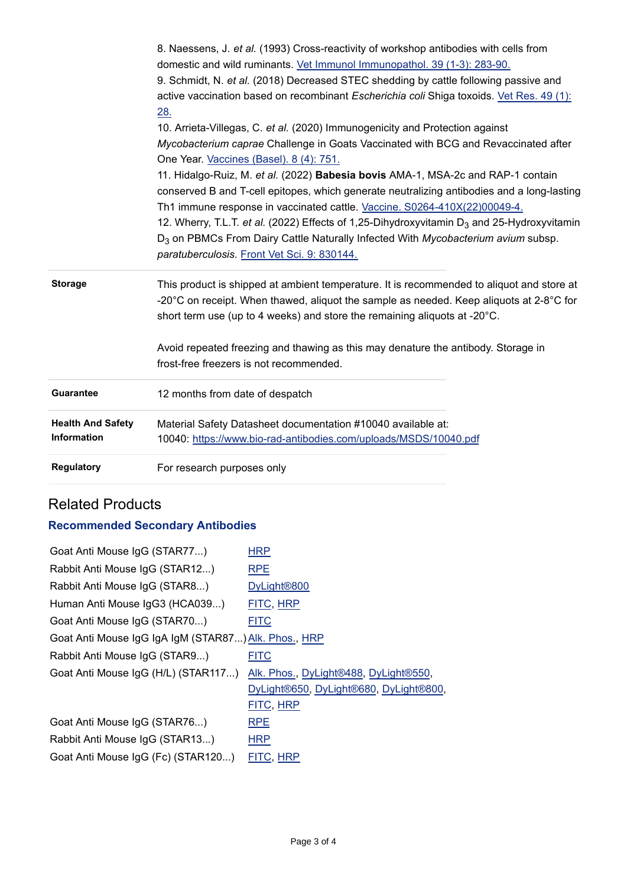|                          | 8. Naessens, J. et al. (1993) Cross-reactivity of workshop antibodies with cells from                         |
|--------------------------|---------------------------------------------------------------------------------------------------------------|
|                          | domestic and wild ruminants. Vet Immunol Immunopathol. 39 (1-3): 283-90.                                      |
|                          | 9. Schmidt, N. et al. (2018) Decreased STEC shedding by cattle following passive and                          |
|                          | active vaccination based on recombinant Escherichia coli Shiga toxoids. Vet Res. 49 (1):                      |
|                          | 28.                                                                                                           |
|                          | 10. Arrieta-Villegas, C. et al. (2020) Immunogenicity and Protection against                                  |
|                          | Mycobacterium caprae Challenge in Goats Vaccinated with BCG and Revaccinated after                            |
|                          | One Year. Vaccines (Basel). 8 (4): 751.                                                                       |
|                          | 11. Hidalgo-Ruiz, M. et al. (2022) Babesia bovis AMA-1, MSA-2c and RAP-1 contain                              |
|                          | conserved B and T-cell epitopes, which generate neutralizing antibodies and a long-lasting                    |
|                          | Th1 immune response in vaccinated cattle. Vaccine. S0264-410X(22)00049-4.                                     |
|                          | 12. Wherry, T.L.T. et al. (2022) Effects of 1,25-Dihydroxyvitamin $D_3$ and 25-Hydroxyvitamin                 |
|                          | D <sub>3</sub> on PBMCs From Dairy Cattle Naturally Infected With Mycobacterium avium subsp.                  |
|                          | paratuberculosis. Front Vet Sci. 9: 830144.                                                                   |
| <b>Storage</b>           | This product is shipped at ambient temperature. It is recommended to aliquot and store at                     |
|                          | -20 $^{\circ}$ C on receipt. When thawed, aliquot the sample as needed. Keep aliquots at 2-8 $^{\circ}$ C for |
|                          | short term use (up to 4 weeks) and store the remaining aliquots at -20°C.                                     |
|                          | Avoid repeated freezing and thawing as this may denature the antibody. Storage in                             |
|                          | frost-free freezers is not recommended.                                                                       |
| <b>Guarantee</b>         | 12 months from date of despatch                                                                               |
| <b>Health And Safety</b> | Material Safety Datasheet documentation #10040 available at:                                                  |
| <b>Information</b>       | 10040: https://www.bio-rad-antibodies.com/uploads/MSDS/10040.pdf                                              |
| <b>Regulatory</b>        | For research purposes only                                                                                    |

## Related Products

## **Recommended Secondary Antibodies**

| HRP                                                  |  |  |  |  |
|------------------------------------------------------|--|--|--|--|
| <b>RPE</b>                                           |  |  |  |  |
| DyLight <sup>®800</sup>                              |  |  |  |  |
| FITC, HRP                                            |  |  |  |  |
| <b>FITC</b>                                          |  |  |  |  |
| Goat Anti Mouse IgG IgA IgM (STAR87) Alk. Phos., HRP |  |  |  |  |
| <b>FITC</b>                                          |  |  |  |  |
| Alk. Phos., DyLight®488, DyLight®550,                |  |  |  |  |
| DyLight®650, DyLight®680, DyLight®800,               |  |  |  |  |
| FITC, HRP                                            |  |  |  |  |
| <b>RPE</b>                                           |  |  |  |  |
| <b>HRP</b>                                           |  |  |  |  |
| FITC, HRP                                            |  |  |  |  |
|                                                      |  |  |  |  |